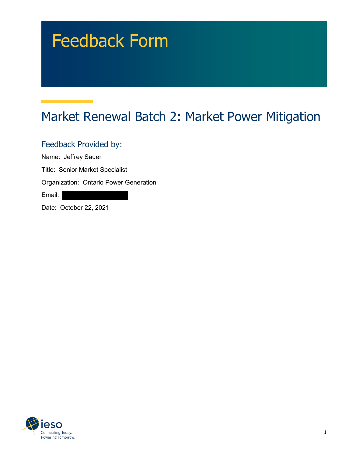# Feedback Form

# Market Renewal Batch 2: Market Power Mitigation

Feedback Provided by:

Name: Jeffrey Sauer

Title: Senior Market Specialist

Organization: Ontario Power Generation

Email:

Date: October 22, 2021

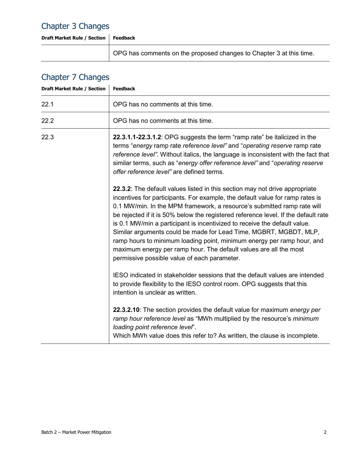#### Chapter 3 Changes

**Draft Market Rule / Section Feedback**

OPG has comments on the proposed changes to Chapter 3 at this time.

# Chapter 7 Changes

| <b>Draft Market Rule / Section</b> | <b>Feedback</b>                                                                                                                                                                                                                                                                                                                                                                                                                                                                                                                                                                                                                                                                |
|------------------------------------|--------------------------------------------------------------------------------------------------------------------------------------------------------------------------------------------------------------------------------------------------------------------------------------------------------------------------------------------------------------------------------------------------------------------------------------------------------------------------------------------------------------------------------------------------------------------------------------------------------------------------------------------------------------------------------|
| 22.1                               | OPG has no comments at this time.                                                                                                                                                                                                                                                                                                                                                                                                                                                                                                                                                                                                                                              |
| 22.2                               | OPG has no comments at this time.                                                                                                                                                                                                                                                                                                                                                                                                                                                                                                                                                                                                                                              |
| 22.3                               | 22.3.1.1-22.3.1.2: OPG suggests the term "ramp rate" be italicized in the<br>terms "energy ramp rate reference level" and "operating reserve ramp rate<br>reference level". Without italics, the language is inconsistent with the fact that<br>similar terms, such as "energy offer reference level" and "operating reserve<br>offer reference level" are defined terms.                                                                                                                                                                                                                                                                                                      |
|                                    | 22.3.2: The default values listed in this section may not drive appropriate<br>incentives for participants. For example, the default value for ramp rates is<br>0.1 MW/min. In the MPM framework, a resource's submitted ramp rate will<br>be rejected if it is 50% below the registered reference level. If the default rate<br>is 0.1 MW/min a participant is incentivized to receive the default value.<br>Similar arguments could be made for Lead Time, MGBRT, MGBDT, MLP,<br>ramp hours to minimum loading point, minimum energy per ramp hour, and<br>maximum energy per ramp hour. The default values are all the most<br>permissive possible value of each parameter. |
|                                    | IESO indicated in stakeholder sessions that the default values are intended<br>to provide flexibility to the IESO control room. OPG suggests that this<br>intention is unclear as written.                                                                                                                                                                                                                                                                                                                                                                                                                                                                                     |
|                                    | 22.3.2.10: The section provides the default value for maximum energy per<br>ramp hour reference level as "MWh multiplied by the resource's minimum<br>loading point reference level".<br>Which MWh value does this refer to? As written, the clause is incomplete.                                                                                                                                                                                                                                                                                                                                                                                                             |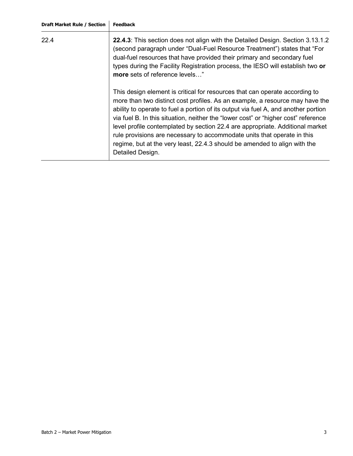| 22.4 | 22.4.3: This section does not align with the Detailed Design. Section 3.13.1.2<br>(second paragraph under "Dual-Fuel Resource Treatment") states that "For<br>dual-fuel resources that have provided their primary and secondary fuel<br>types during the Facility Registration process, the IESO will establish two or<br>more sets of reference levels"                                                                                                                                                                                                                                            |
|------|------------------------------------------------------------------------------------------------------------------------------------------------------------------------------------------------------------------------------------------------------------------------------------------------------------------------------------------------------------------------------------------------------------------------------------------------------------------------------------------------------------------------------------------------------------------------------------------------------|
|      | This design element is critical for resources that can operate according to<br>more than two distinct cost profiles. As an example, a resource may have the<br>ability to operate to fuel a portion of its output via fuel A, and another portion<br>via fuel B. In this situation, neither the "lower cost" or "higher cost" reference<br>level profile contemplated by section 22.4 are appropriate. Additional market<br>rule provisions are necessary to accommodate units that operate in this<br>regime, but at the very least, 22.4.3 should be amended to align with the<br>Detailed Design. |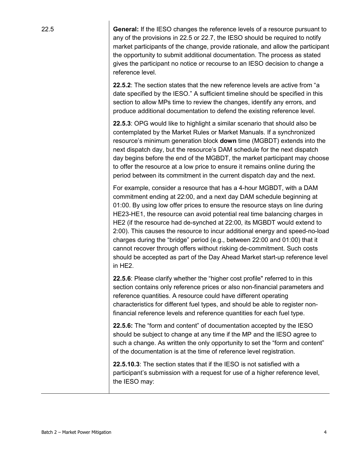22.5 **General:** If the IESO changes the reference levels of a resource pursuant to any of the provisions in 22.5 or 22.7, the IESO should be required to notify market participants of the change, provide rationale, and allow the participant the opportunity to submit additional documentation. The process as stated gives the participant no notice or recourse to an IESO decision to change a reference level.

> **22.5.2**: The section states that the new reference levels are active from "a date specified by the IESO." A sufficient timeline should be specified in this section to allow MPs time to review the changes, identify any errors, and produce additional documentation to defend the existing reference level.

**22.5.3**: OPG would like to highlight a similar scenario that should also be contemplated by the Market Rules or Market Manuals. If a synchronized resource's minimum generation block **down** time (MGBDT) extends into the next dispatch day, but the resource's DAM schedule for the next dispatch day begins before the end of the MGBDT, the market participant may choose to offer the resource at a low price to ensure it remains online during the period between its commitment in the current dispatch day and the next.

For example, consider a resource that has a 4-hour MGBDT, with a DAM commitment ending at 22:00, and a next day DAM schedule beginning at 01:00. By using low offer prices to ensure the resource stays on line during HE23-HE1, the resource can avoid potential real time balancing charges in HE2 (if the resource had de-synched at 22:00, its MGBDT would extend to 2:00). This causes the resource to incur additional energy and speed-no-load charges during the "bridge" period (e.g., between 22:00 and 01:00) that it cannot recover through offers without risking de-commitment. Such costs should be accepted as part of the Day Ahead Market start-up reference level in HE2.

**22.5.6**: Please clarify whether the "higher cost profile" referred to in this section contains only reference prices or also non-financial parameters and reference quantities. A resource could have different operating characteristics for different fuel types, and should be able to register nonfinancial reference levels and reference quantities for each fuel type.

**22.5.6:** The "form and content" of documentation accepted by the IESO should be subject to change at any time if the MP and the IESO agree to such a change. As written the only opportunity to set the "form and content" of the documentation is at the time of reference level registration.

**22.5.10.3**: The section states that if the IESO is not satisfied with a participant's submission with a request for use of a higher reference level, the IESO may: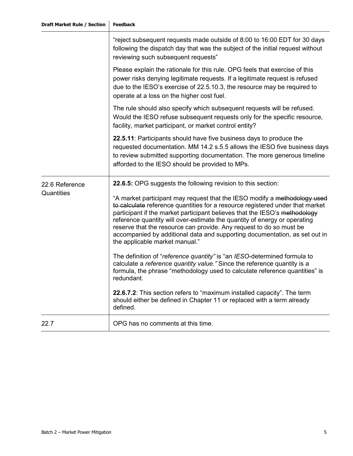|                | "reject subsequent requests made outside of 8:00 to 16:00 EDT for 30 days<br>following the dispatch day that was the subject of the initial request without<br>reviewing such subsequent requests"                                                                                                                                                                                                                                                                                                           |
|----------------|--------------------------------------------------------------------------------------------------------------------------------------------------------------------------------------------------------------------------------------------------------------------------------------------------------------------------------------------------------------------------------------------------------------------------------------------------------------------------------------------------------------|
|                | Please explain the rationale for this rule. OPG feels that exercise of this<br>power risks denying legitimate requests. If a legitimate request is refused<br>due to the IESO's exercise of 22.5.10.3, the resource may be required to<br>operate at a loss on the higher cost fuel.                                                                                                                                                                                                                         |
|                | The rule should also specify which subsequent requests will be refused.<br>Would the IESO refuse subsequent requests only for the specific resource,<br>facility, market participant, or market control entity?                                                                                                                                                                                                                                                                                              |
|                | 22.5.11: Participants should have five business days to produce the<br>requested documentation. MM 14.2 s.5.5 allows the IESO five business days<br>to review submitted supporting documentation. The more generous timeline<br>afforded to the IESO should be provided to MPs.                                                                                                                                                                                                                              |
| 22.6 Reference | 22.6.5: OPG suggests the following revision to this section:                                                                                                                                                                                                                                                                                                                                                                                                                                                 |
| Quantities     | "A market participant may request that the IESO modify a methodology used<br>to calculate reference quantities for a resource registered under that market<br>participant if the market participant believes that the IESO's methodology<br>reference quantity will over-estimate the quantity of energy or operating<br>reserve that the resource can provide. Any request to do so must be<br>accompanied by additional data and supporting documentation, as set out in<br>the applicable market manual." |
|                | The definition of "reference quantity" is "an IESO-determined formula to<br>calculate a reference quantity value." Since the reference quantity is a<br>formula, the phrase "methodology used to calculate reference quantities" is<br>redundant.                                                                                                                                                                                                                                                            |
|                | 22.6.7.2: This section refers to "maximum installed capacity". The term<br>should either be defined in Chapter 11 or replaced with a term already<br>defined.                                                                                                                                                                                                                                                                                                                                                |
| 22.7           | OPG has no comments at this time.                                                                                                                                                                                                                                                                                                                                                                                                                                                                            |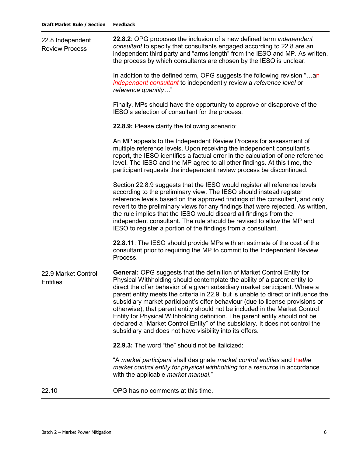| dhar<br>eΘ |
|------------|
|------------|

| 22.8 Independent<br><b>Review Process</b> | 22.8.2: OPG proposes the inclusion of a new defined term independent<br>consultant to specify that consultants engaged according to 22.8 are an<br>independent third party and "arms length" from the IESO and MP. As written,<br>the process by which consultants are chosen by the IESO is unclear.                                                                                                                                                                                                                                                                                                                                                                                                                       |
|-------------------------------------------|-----------------------------------------------------------------------------------------------------------------------------------------------------------------------------------------------------------------------------------------------------------------------------------------------------------------------------------------------------------------------------------------------------------------------------------------------------------------------------------------------------------------------------------------------------------------------------------------------------------------------------------------------------------------------------------------------------------------------------|
|                                           | In addition to the defined term, OPG suggests the following revision "an<br>independent consultant to independently review a reference level or<br>reference quantity"                                                                                                                                                                                                                                                                                                                                                                                                                                                                                                                                                      |
|                                           | Finally, MPs should have the opportunity to approve or disapprove of the<br>IESO's selection of consultant for the process.                                                                                                                                                                                                                                                                                                                                                                                                                                                                                                                                                                                                 |
|                                           | 22.8.9: Please clarify the following scenario:                                                                                                                                                                                                                                                                                                                                                                                                                                                                                                                                                                                                                                                                              |
|                                           | An MP appeals to the Independent Review Process for assessment of<br>multiple reference levels. Upon receiving the independent consultant's<br>report, the IESO identifies a factual error in the calculation of one reference<br>level. The IESO and the MP agree to all other findings. At this time, the<br>participant requests the independent review process be discontinued.                                                                                                                                                                                                                                                                                                                                         |
|                                           | Section 22.8.9 suggests that the IESO would register all reference levels<br>according to the preliminary view. The IESO should instead register<br>reference levels based on the approved findings of the consultant, and only<br>revert to the preliminary views for any findings that were rejected. As written,<br>the rule implies that the IESO would discard all findings from the<br>independent consultant. The rule should be revised to allow the MP and<br>IESO to register a portion of the findings from a consultant.                                                                                                                                                                                        |
|                                           | 22.8.11: The IESO should provide MPs with an estimate of the cost of the<br>consultant prior to requiring the MP to commit to the Independent Review<br>Process.                                                                                                                                                                                                                                                                                                                                                                                                                                                                                                                                                            |
| 22.9 Market Control<br><b>Entities</b>    | <b>General:</b> OPG suggests that the definition of Market Control Entity for<br>Physical Withholding should contemplate the ability of a parent entity to<br>direct the offer behavior of a given subsidiary market participant. Where a<br>parent entity meets the criteria in 22.9, but is unable to direct or influence the<br>subsidiary market participant's offer behaviour (due to license provisions or<br>otherwise), that parent entity should not be included in the Market Control<br>Entity for Physical Withholding definition. The parent entity should not be<br>declared a "Market Control Entity" of the subsidiary. It does not control the<br>subsidiary and does not have visibility into its offers. |
|                                           | 22.9.3: The word "the" should not be italicized:                                                                                                                                                                                                                                                                                                                                                                                                                                                                                                                                                                                                                                                                            |
|                                           | "A market participant shall designate market control entities and thethe<br>market control entity for physical withholding for a resource in accordance<br>with the applicable market manual."                                                                                                                                                                                                                                                                                                                                                                                                                                                                                                                              |
| 22.10                                     | OPG has no comments at this time.                                                                                                                                                                                                                                                                                                                                                                                                                                                                                                                                                                                                                                                                                           |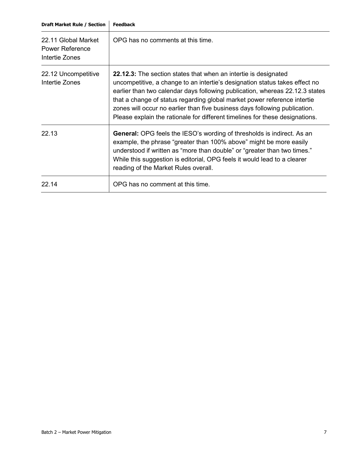| 22.11 Global Market<br><b>Power Reference</b><br>Intertie Zones | OPG has no comments at this time.                                                                                                                                                                                                                                                                                                                                                                                                                                               |
|-----------------------------------------------------------------|---------------------------------------------------------------------------------------------------------------------------------------------------------------------------------------------------------------------------------------------------------------------------------------------------------------------------------------------------------------------------------------------------------------------------------------------------------------------------------|
| 22.12 Uncompetitive<br>Intertie Zones                           | <b>22.12.3:</b> The section states that when an intertie is designated<br>uncompetitive, a change to an intertie's designation status takes effect no<br>earlier than two calendar days following publication, whereas 22.12.3 states<br>that a change of status regarding global market power reference intertie<br>zones will occur no earlier than five business days following publication.<br>Please explain the rationale for different timelines for these designations. |
| 22.13                                                           | <b>General:</b> OPG feels the IESO's wording of thresholds is indirect. As an<br>example, the phrase "greater than 100% above" might be more easily<br>understood if written as "more than double" or "greater than two times."<br>While this suggestion is editorial, OPG feels it would lead to a clearer<br>reading of the Market Rules overall.                                                                                                                             |
| 22 14                                                           | OPG has no comment at this time.                                                                                                                                                                                                                                                                                                                                                                                                                                                |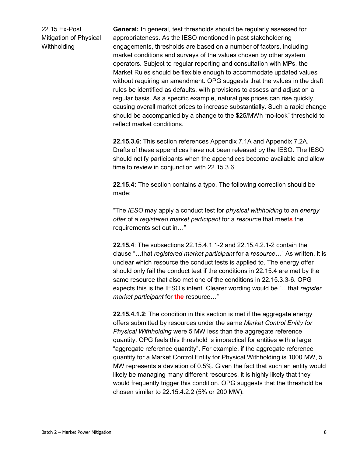22.15 Ex-Post Mitigation of Physical **Withholding** 

**General:** In general, test thresholds should be regularly assessed for appropriateness. As the IESO mentioned in past stakeholdering engagements, thresholds are based on a number of factors, including market conditions and surveys of the values chosen by other system operators. Subject to regular reporting and consultation with MPs, the Market Rules should be flexible enough to accommodate updated values without requiring an amendment. OPG suggests that the values in the draft rules be identified as defaults, with provisions to assess and adjust on a regular basis. As a specific example, natural gas prices can rise quickly, causing overall market prices to increase substantially. Such a rapid change should be accompanied by a change to the \$25/MWh "no-look" threshold to reflect market conditions.

**22.15.3.6**: This section references Appendix 7.1A and Appendix 7.2A. Drafts of these appendices have not been released by the IESO. The IESO should notify participants when the appendices become available and allow time to review in conjunction with 22.15.3.6.

**22.15.4:** The section contains a typo. The following correction should be made:

"The *IESO* may apply a conduct test for *physical withholding* to an *energy offer* of a *registered market participant* for a *resource* that meet**s** the requirements set out in…"

**22.15.4**: The subsections 22.15.4.1.1-2 and 22.15.4.2.1-2 contain the clause "…that *registered market participant* for **a** *resource…*" As written, it is unclear which resource the conduct tests is applied to. The energy offer should only fail the conduct test if the conditions in 22.15.4 are met by the same resource that also met one of the conditions in 22.15.3.3-6. OPG expects this is the IESO's intent. Clearer wording would be "…that *register market participant* for **the** resource…"

**22.15.4.1.2**: The condition in this section is met if the aggregate energy offers submitted by resources under the same *Market Control Entity for Physical Withholding* were 5 MW less than the aggregate reference quantity. OPG feels this threshold is impractical for entities with a large "aggregate reference quantity". For example, if the aggregate reference quantity for a Market Control Entity for Physical Withholding is 1000 MW, 5 MW represents a deviation of 0.5%. Given the fact that such an entity would likely be managing many different resources, it is highly likely that they would frequently trigger this condition. OPG suggests that the threshold be chosen similar to 22.15.4.2.2 (5% or 200 MW).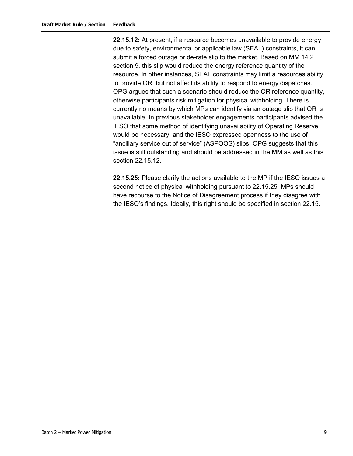**22.15.12:** At present, if a resource becomes unavailable to provide energy due to safety, environmental or applicable law (SEAL) constraints, it can submit a forced outage or de-rate slip to the market. Based on MM 14.2 section 9, this slip would reduce the energy reference quantity of the resource. In other instances, SEAL constraints may limit a resources ability to provide OR, but not affect its ability to respond to energy dispatches. OPG argues that such a scenario should reduce the OR reference quantity, otherwise participants risk mitigation for physical withholding. There is currently no means by which MPs can identify via an outage slip that OR is unavailable. In previous stakeholder engagements participants advised the IESO that some method of identifying unavailability of Operating Reserve would be necessary, and the IESO expressed openness to the use of "ancillary service out of service" (ASPOOS) slips. OPG suggests that this issue is still outstanding and should be addressed in the MM as well as this section 22.15.12.

**22.15.25:** Please clarify the actions available to the MP if the IESO issues a second notice of physical withholding pursuant to 22.15.25. MPs should have recourse to the Notice of Disagreement process if they disagree with the IESO's findings. Ideally, this right should be specified in section 22.15.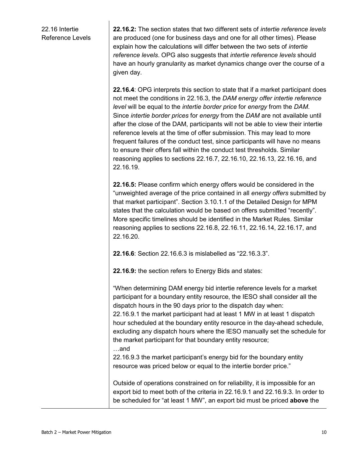22.16 Intertie Reference Levels **22.16.2:** The section states that two different sets of *intertie reference levels* are produced (one for business days and one for all other times). Please explain how the calculations will differ between the two sets of *intertie reference levels*. OPG also suggests that *intertie reference levels* should have an hourly granularity as market dynamics change over the course of a given day.

**22.16.4**: OPG interprets this section to state that if a market participant does not meet the conditions in 22.16.3, the *DAM energy offer intertie reference level* will be equal to the *intertie border price* for *energy* from the *DAM*. Since *intertie border prices* for *energy* from the *DAM* are not available until after the close of the DAM, participants will not be able to view their intertie reference levels at the time of offer submission. This may lead to more frequent failures of the conduct test, since participants will have no means to ensure their offers fall within the conduct test thresholds. Similar reasoning applies to sections 22.16.7, 22.16.10, 22.16.13, 22.16.16, and 22.16.19.

**22.16.5:** Please confirm which energy offers would be considered in the "unweighted average of the price contained in all *energy offers* submitted by that market participant". Section 3.10.1.1 of the Detailed Design for MPM states that the calculation would be based on offers submitted "recently". More specific timelines should be identified in the Market Rules. Similar reasoning applies to sections 22.16.8, 22.16.11, 22.16.14, 22.16.17, and 22.16.20.

**22.16.6**: Section 22.16.6.3 is mislabelled as "22.16.3.3".

**22.16.9:** the section refers to Energy Bids and states:

"When determining DAM energy bid intertie reference levels for a market participant for a boundary entity resource, the IESO shall consider all the dispatch hours in the 90 days prior to the dispatch day when: 22.16.9.1 the market participant had at least 1 MW in at least 1 dispatch hour scheduled at the boundary entity resource in the day-ahead schedule, excluding any dispatch hours where the IESO manually set the schedule for the market participant for that boundary entity resource; …and 22.16.9.3 the market participant's energy bid for the boundary entity resource was priced below or equal to the intertie border price." Outside of operations constrained on for reliability, it is impossible for an export bid to meet both of the criteria in 22.16.9.1 and 22.16.9.3. In order to be scheduled for "at least 1 MW", an export bid must be priced **above** the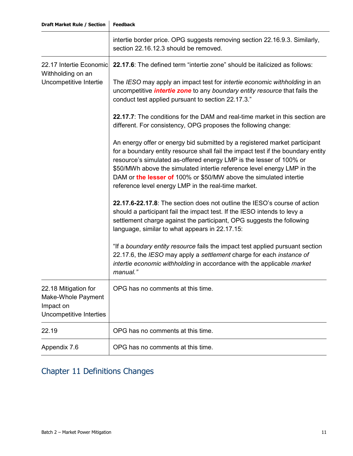|                                                                                    | intertie border price. OPG suggests removing section 22.16.9.3. Similarly,<br>section 22.16.12.3 should be removed.                                                                                                                                                                                                                                                                                                                          |
|------------------------------------------------------------------------------------|----------------------------------------------------------------------------------------------------------------------------------------------------------------------------------------------------------------------------------------------------------------------------------------------------------------------------------------------------------------------------------------------------------------------------------------------|
| 22.17 Intertie Economic<br>Withholding on an<br>Uncompetitive Intertie             | 22.17.6: The defined term "intertie zone" should be italicized as follows:                                                                                                                                                                                                                                                                                                                                                                   |
|                                                                                    | The IESO may apply an impact test for <i>intertie economic withholding</i> in an<br>uncompetitive <i>intertie zone</i> to any boundary entity resource that fails the<br>conduct test applied pursuant to section 22.17.3."                                                                                                                                                                                                                  |
|                                                                                    | 22.17.7: The conditions for the DAM and real-time market in this section are<br>different. For consistency, OPG proposes the following change:                                                                                                                                                                                                                                                                                               |
|                                                                                    | An energy offer or energy bid submitted by a registered market participant<br>for a boundary entity resource shall fail the impact test if the boundary entity<br>resource's simulated as-offered energy LMP is the lesser of 100% or<br>\$50/MWh above the simulated intertie reference level energy LMP in the<br>DAM or the lesser of 100% or \$50/MW above the simulated intertie<br>reference level energy LMP in the real-time market. |
|                                                                                    | 22.17.6-22.17.8: The section does not outline the IESO's course of action<br>should a participant fail the impact test. If the IESO intends to levy a<br>settlement charge against the participant, OPG suggests the following<br>language, similar to what appears in 22.17.15:                                                                                                                                                             |
|                                                                                    | "If a boundary entity resource fails the impact test applied pursuant section<br>22.17.6, the IESO may apply a settlement charge for each instance of<br>intertie economic withholding in accordance with the applicable market<br>manual."                                                                                                                                                                                                  |
| 22.18 Mitigation for<br>Make-Whole Payment<br>Impact on<br>Uncompetitive Interties | OPG has no comments at this time.                                                                                                                                                                                                                                                                                                                                                                                                            |
| 22.19                                                                              | OPG has no comments at this time.                                                                                                                                                                                                                                                                                                                                                                                                            |
| Appendix 7.6                                                                       | OPG has no comments at this time.                                                                                                                                                                                                                                                                                                                                                                                                            |

# Chapter 11 Definitions Changes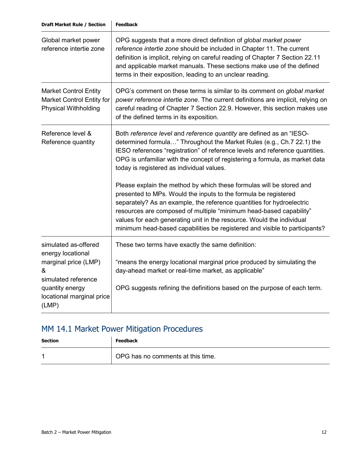| Global market power<br>reference intertie zone                                                                                                         | OPG suggests that a more direct definition of global market power<br>reference intertie zone should be included in Chapter 11. The current<br>definition is implicit, relying on careful reading of Chapter 7 Section 22.11<br>and applicable market manuals. These sections make use of the defined<br>terms in their exposition, leading to an unclear reading.                                                                             |
|--------------------------------------------------------------------------------------------------------------------------------------------------------|-----------------------------------------------------------------------------------------------------------------------------------------------------------------------------------------------------------------------------------------------------------------------------------------------------------------------------------------------------------------------------------------------------------------------------------------------|
| <b>Market Control Entity</b><br><b>Market Control Entity for</b><br><b>Physical Withholding</b>                                                        | OPG's comment on these terms is similar to its comment on global market<br>power reference intertie zone. The current definitions are implicit, relying on<br>careful reading of Chapter 7 Section 22.9. However, this section makes use<br>of the defined terms in its exposition.                                                                                                                                                           |
| Reference level &<br>Reference quantity                                                                                                                | Both reference level and reference quantity are defined as an "IESO-<br>determined formula" Throughout the Market Rules (e.g., Ch.7 22.1) the<br>IESO references "registration" of reference levels and reference quantities.<br>OPG is unfamiliar with the concept of registering a formula, as market data<br>today is registered as individual values.                                                                                     |
|                                                                                                                                                        | Please explain the method by which these formulas will be stored and<br>presented to MPs. Would the inputs to the formula be registered<br>separately? As an example, the reference quantities for hydroelectric<br>resources are composed of multiple "minimum head-based capability"<br>values for each generating unit in the resource. Would the individual<br>minimum head-based capabilities be registered and visible to participants? |
| simulated as-offered<br>energy locational<br>marginal price (LMP)<br>&<br>simulated reference<br>quantity energy<br>locational marginal price<br>(LMP) | These two terms have exactly the same definition:<br>"means the energy locational marginal price produced by simulating the<br>day-ahead market or real-time market, as applicable"                                                                                                                                                                                                                                                           |
|                                                                                                                                                        | OPG suggests refining the definitions based on the purpose of each term.                                                                                                                                                                                                                                                                                                                                                                      |

# MM 14.1 Market Power Mitigation Procedures

| <b>Section</b> | <b>Feedback</b>                   |
|----------------|-----------------------------------|
|                | OPG has no comments at this time. |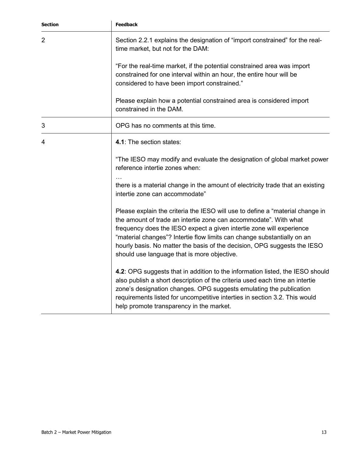| <b>Section</b> | <b>Feedback</b>                                                                                                                                                                                                                                                                                                                                                                                                                 |
|----------------|---------------------------------------------------------------------------------------------------------------------------------------------------------------------------------------------------------------------------------------------------------------------------------------------------------------------------------------------------------------------------------------------------------------------------------|
| 2              | Section 2.2.1 explains the designation of "import constrained" for the real-<br>time market, but not for the DAM:                                                                                                                                                                                                                                                                                                               |
|                | "For the real-time market, if the potential constrained area was import<br>constrained for one interval within an hour, the entire hour will be<br>considered to have been import constrained."                                                                                                                                                                                                                                 |
|                | Please explain how a potential constrained area is considered import<br>constrained in the DAM.                                                                                                                                                                                                                                                                                                                                 |
| 3              | OPG has no comments at this time.                                                                                                                                                                                                                                                                                                                                                                                               |
| 4              | 4.1: The section states:                                                                                                                                                                                                                                                                                                                                                                                                        |
|                | "The IESO may modify and evaluate the designation of global market power<br>reference intertie zones when:                                                                                                                                                                                                                                                                                                                      |
|                | there is a material change in the amount of electricity trade that an existing<br>intertie zone can accommodate"                                                                                                                                                                                                                                                                                                                |
|                | Please explain the criteria the IESO will use to define a "material change in<br>the amount of trade an intertie zone can accommodate". With what<br>frequency does the IESO expect a given intertie zone will experience<br>"material changes"? Intertie flow limits can change substantially on an<br>hourly basis. No matter the basis of the decision, OPG suggests the IESO<br>should use language that is more objective. |
|                | 4.2: OPG suggests that in addition to the information listed, the IESO should<br>also publish a short description of the criteria used each time an intertie<br>zone's designation changes. OPG suggests emulating the publication<br>requirements listed for uncompetitive interties in section 3.2. This would<br>help promote transparency in the market.                                                                    |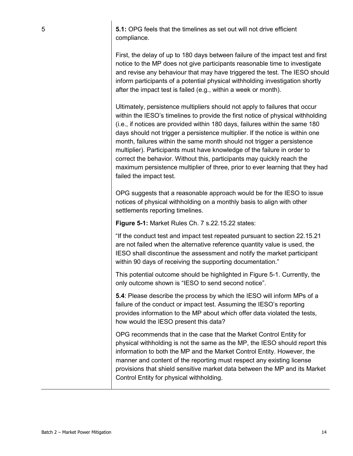5 **5.1:** OPG feels that the timelines as set out will not drive efficient compliance.

> First, the delay of up to 180 days between failure of the impact test and first notice to the MP does not give participants reasonable time to investigate and revise any behaviour that may have triggered the test. The IESO should inform participants of a potential physical withholding investigation shortly after the impact test is failed (e.g., within a week or month).

> Ultimately, persistence multipliers should not apply to failures that occur within the IESO's timelines to provide the first notice of physical withholding (i.e., if notices are provided within 180 days, failures within the same 180 days should not trigger a persistence multiplier. If the notice is within one month, failures within the same month should not trigger a persistence multiplier). Participants must have knowledge of the failure in order to correct the behavior. Without this, participants may quickly reach the maximum persistence multiplier of three, prior to ever learning that they had failed the impact test.

OPG suggests that a reasonable approach would be for the IESO to issue notices of physical withholding on a monthly basis to align with other settlements reporting timelines.

**Figure 5-1:** Market Rules Ch. 7 s.22.15.22 states:

"If the conduct test and impact test repeated pursuant to section 22.15.21 are not failed when the alternative reference quantity value is used, the IESO shall discontinue the assessment and notify the market participant within 90 days of receiving the supporting documentation."

This potential outcome should be highlighted in Figure 5-1. Currently, the only outcome shown is "IESO to send second notice".

**5.4**: Please describe the process by which the IESO will inform MPs of a failure of the conduct or impact test. Assuming the IESO's reporting provides information to the MP about which offer data violated the tests, how would the IESO present this data?

OPG recommends that in the case that the Market Control Entity for physical withholding is not the same as the MP, the IESO should report this information to both the MP and the Market Control Entity. However, the manner and content of the reporting must respect any existing license provisions that shield sensitive market data between the MP and its Market Control Entity for physical withholding.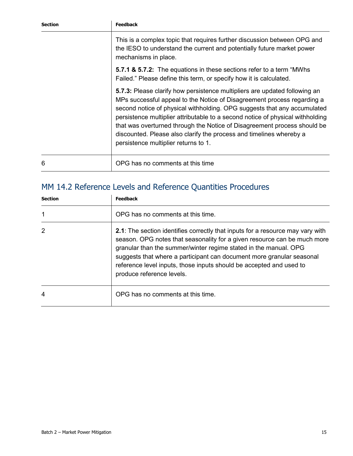| <b>Section</b> | <b>Feedback</b>                                                                                                                                                                                                                                                                                                                                                                                                                                                                                                |
|----------------|----------------------------------------------------------------------------------------------------------------------------------------------------------------------------------------------------------------------------------------------------------------------------------------------------------------------------------------------------------------------------------------------------------------------------------------------------------------------------------------------------------------|
|                | This is a complex topic that requires further discussion between OPG and<br>the IESO to understand the current and potentially future market power<br>mechanisms in place.                                                                                                                                                                                                                                                                                                                                     |
|                | <b>5.7.1 &amp; 5.7.2:</b> The equations in these sections refer to a term "MWhs"<br>Failed." Please define this term, or specify how it is calculated.                                                                                                                                                                                                                                                                                                                                                         |
|                | 5.7.3: Please clarify how persistence multipliers are updated following an<br>MPs successful appeal to the Notice of Disagreement process regarding a<br>second notice of physical withholding. OPG suggests that any accumulated<br>persistence multiplier attributable to a second notice of physical withholding<br>that was overturned through the Notice of Disagreement process should be<br>discounted. Please also clarify the process and timelines whereby a<br>persistence multiplier returns to 1. |
| 6              | OPG has no comments at this time                                                                                                                                                                                                                                                                                                                                                                                                                                                                               |

# MM 14.2 Reference Levels and Reference Quantities Procedures

| Section | <b>Feedback</b>                                                                                                                                                                                                                                                                                                                                                                                                     |
|---------|---------------------------------------------------------------------------------------------------------------------------------------------------------------------------------------------------------------------------------------------------------------------------------------------------------------------------------------------------------------------------------------------------------------------|
|         | OPG has no comments at this time.                                                                                                                                                                                                                                                                                                                                                                                   |
| 2       | <b>2.1</b> : The section identifies correctly that inputs for a resource may vary with<br>season. OPG notes that seasonality for a given resource can be much more<br>granular than the summer/winter regime stated in the manual. OPG<br>suggests that where a participant can document more granular seasonal<br>reference level inputs, those inputs should be accepted and used to<br>produce reference levels. |
| 4       | OPG has no comments at this time.                                                                                                                                                                                                                                                                                                                                                                                   |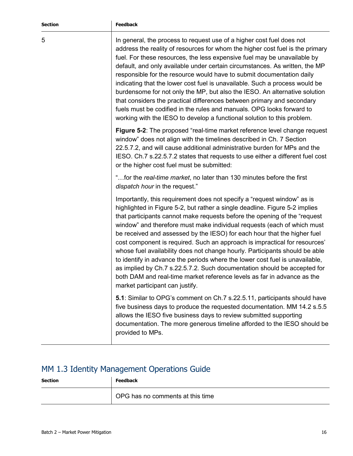5 In general, the process to request use of a higher cost fuel does not address the reality of resources for whom the higher cost fuel is the primary fuel. For these resources, the less expensive fuel may be unavailable by default, and only available under certain circumstances. As written, the MP responsible for the resource would have to submit documentation daily indicating that the lower cost fuel is unavailable. Such a process would be burdensome for not only the MP, but also the IESO. An alternative solution that considers the practical differences between primary and secondary fuels must be codified in the rules and manuals. OPG looks forward to working with the IESO to develop a functional solution to this problem.

> **Figure 5-2:** The proposed "real-time market reference level change request window" does not align with the timelines described in Ch. 7 Section 22.5.7.2, and will cause additional administrative burden for MPs and the IESO. Ch.7 s.22.5.7.2 states that requests to use either a different fuel cost or the higher cost fuel must be submitted:

"…for the *real-time market*, no later than 130 minutes before the first *dispatch hour* in the request."

Importantly, this requirement does not specify a "request window" as is highlighted in Figure 5-2, but rather a single deadline. Figure 5-2 implies that participants cannot make requests before the opening of the "request window" and therefore must make individual requests (each of which must be received and assessed by the IESO) for each hour that the higher fuel cost component is required. Such an approach is impractical for resources' whose fuel availability does not change hourly. Participants should be able to identify in advance the periods where the lower cost fuel is unavailable, as implied by Ch.7 s.22.5.7.2. Such documentation should be accepted for both DAM and real-time market reference levels as far in advance as the market participant can justify.

**5.1**: Similar to OPG's comment on Ch.7 s.22.5.11, participants should have five business days to produce the requested documentation. MM 14.2 s.5.5 allows the IESO five business days to review submitted supporting documentation. The more generous timeline afforded to the IESO should be provided to MPs.

#### MM 1.3 Identity Management Operations Guide

| <b>Section</b> | <b>Feedback</b>                  |
|----------------|----------------------------------|
|                | OPG has no comments at this time |